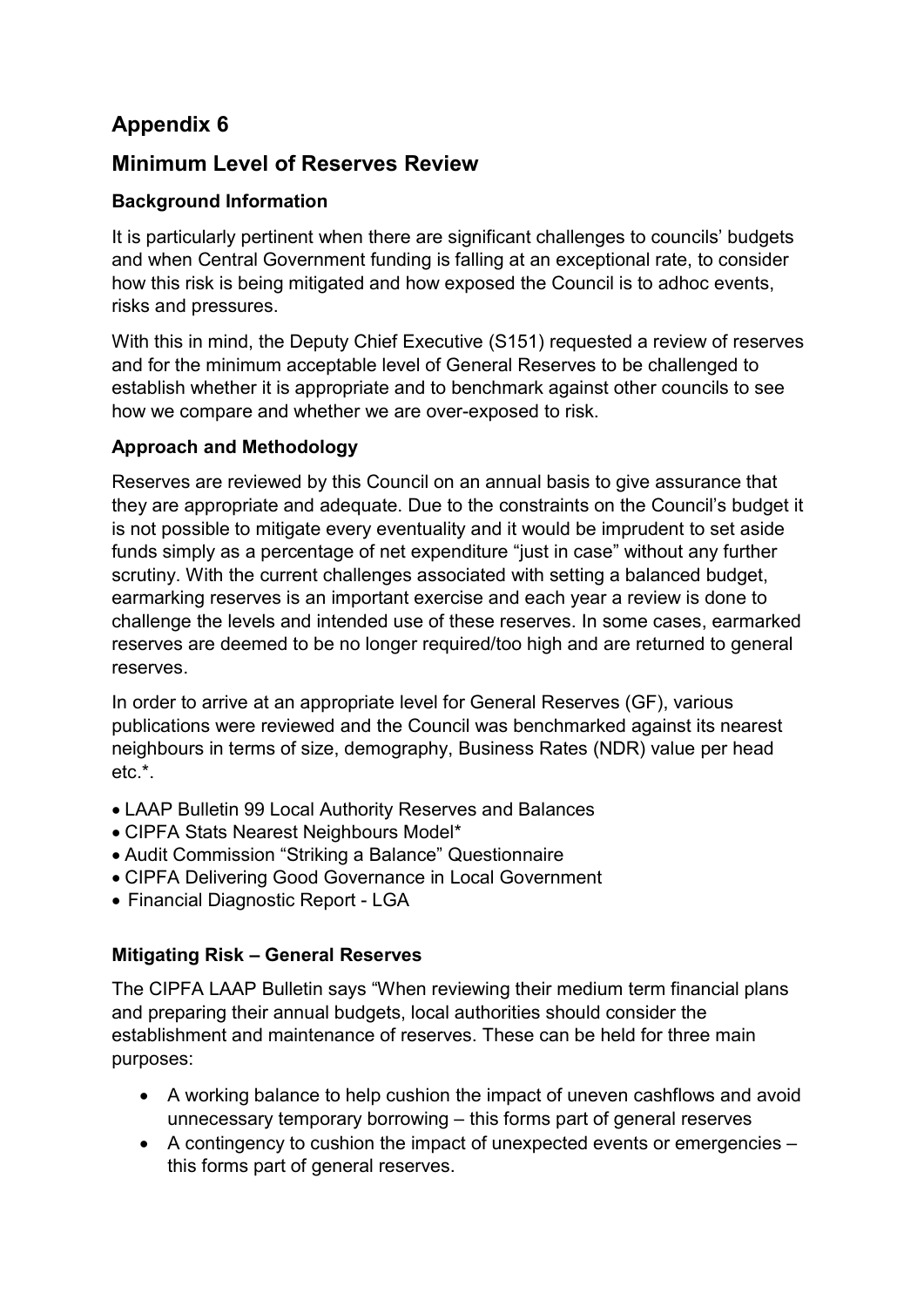# Appendix 6

# Minimum Level of Reserves Review

## Background Information

It is particularly pertinent when there are significant challenges to councils' budgets and when Central Government funding is falling at an exceptional rate, to consider how this risk is being mitigated and how exposed the Council is to adhoc events, risks and pressures.

With this in mind, the Deputy Chief Executive (S151) requested a review of reserves and for the minimum acceptable level of General Reserves to be challenged to establish whether it is appropriate and to benchmark against other councils to see how we compare and whether we are over-exposed to risk.

## Approach and Methodology

Reserves are reviewed by this Council on an annual basis to give assurance that they are appropriate and adequate. Due to the constraints on the Council's budget it is not possible to mitigate every eventuality and it would be imprudent to set aside funds simply as a percentage of net expenditure "just in case" without any further scrutiny. With the current challenges associated with setting a balanced budget, earmarking reserves is an important exercise and each year a review is done to challenge the levels and intended use of these reserves. In some cases, earmarked reserves are deemed to be no longer required/too high and are returned to general reserves.

In order to arrive at an appropriate level for General Reserves (GF), various publications were reviewed and the Council was benchmarked against its nearest neighbours in terms of size, demography, Business Rates (NDR) value per head etc.\*.

- LAAP Bulletin 99 Local Authority Reserves and Balances
- CIPFA Stats Nearest Neighbours Model\*
- Audit Commission "Striking a Balance" Questionnaire
- CIPFA Delivering Good Governance in Local Government
- Financial Diagnostic Report LGA

### Mitigating Risk – General Reserves

The CIPFA LAAP Bulletin says "When reviewing their medium term financial plans and preparing their annual budgets, local authorities should consider the establishment and maintenance of reserves. These can be held for three main purposes:

- A working balance to help cushion the impact of uneven cashflows and avoid unnecessary temporary borrowing – this forms part of general reserves
- A contingency to cushion the impact of unexpected events or emergencies this forms part of general reserves.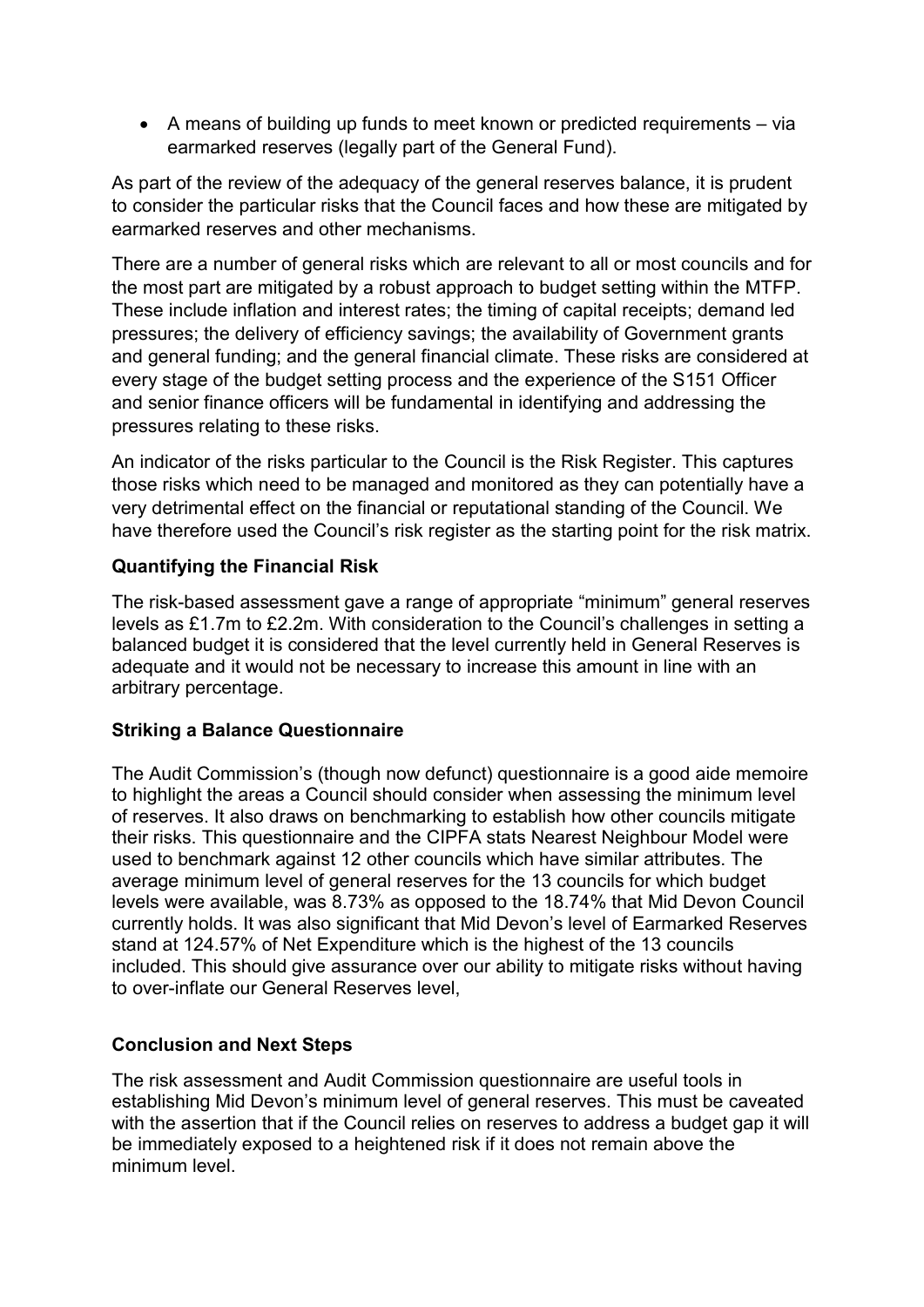A means of building up funds to meet known or predicted requirements – via earmarked reserves (legally part of the General Fund).

As part of the review of the adequacy of the general reserves balance, it is prudent to consider the particular risks that the Council faces and how these are mitigated by earmarked reserves and other mechanisms.

There are a number of general risks which are relevant to all or most councils and for the most part are mitigated by a robust approach to budget setting within the MTFP. These include inflation and interest rates; the timing of capital receipts; demand led pressures; the delivery of efficiency savings; the availability of Government grants and general funding; and the general financial climate. These risks are considered at every stage of the budget setting process and the experience of the S151 Officer and senior finance officers will be fundamental in identifying and addressing the pressures relating to these risks.

An indicator of the risks particular to the Council is the Risk Register. This captures those risks which need to be managed and monitored as they can potentially have a very detrimental effect on the financial or reputational standing of the Council. We have therefore used the Council's risk register as the starting point for the risk matrix.

### Quantifying the Financial Risk

The risk-based assessment gave a range of appropriate "minimum" general reserves levels as £1.7m to £2.2m. With consideration to the Council's challenges in setting a balanced budget it is considered that the level currently held in General Reserves is adequate and it would not be necessary to increase this amount in line with an arbitrary percentage.

#### Striking a Balance Questionnaire

The Audit Commission's (though now defunct) questionnaire is a good aide memoire to highlight the areas a Council should consider when assessing the minimum level of reserves. It also draws on benchmarking to establish how other councils mitigate their risks. This questionnaire and the CIPFA stats Nearest Neighbour Model were used to benchmark against 12 other councils which have similar attributes. The average minimum level of general reserves for the 13 councils for which budget levels were available, was 8.73% as opposed to the 18.74% that Mid Devon Council currently holds. It was also significant that Mid Devon's level of Earmarked Reserves stand at 124.57% of Net Expenditure which is the highest of the 13 councils included. This should give assurance over our ability to mitigate risks without having to over-inflate our General Reserves level,

#### Conclusion and Next Steps

The risk assessment and Audit Commission questionnaire are useful tools in establishing Mid Devon's minimum level of general reserves. This must be caveated with the assertion that if the Council relies on reserves to address a budget gap it will be immediately exposed to a heightened risk if it does not remain above the minimum level.